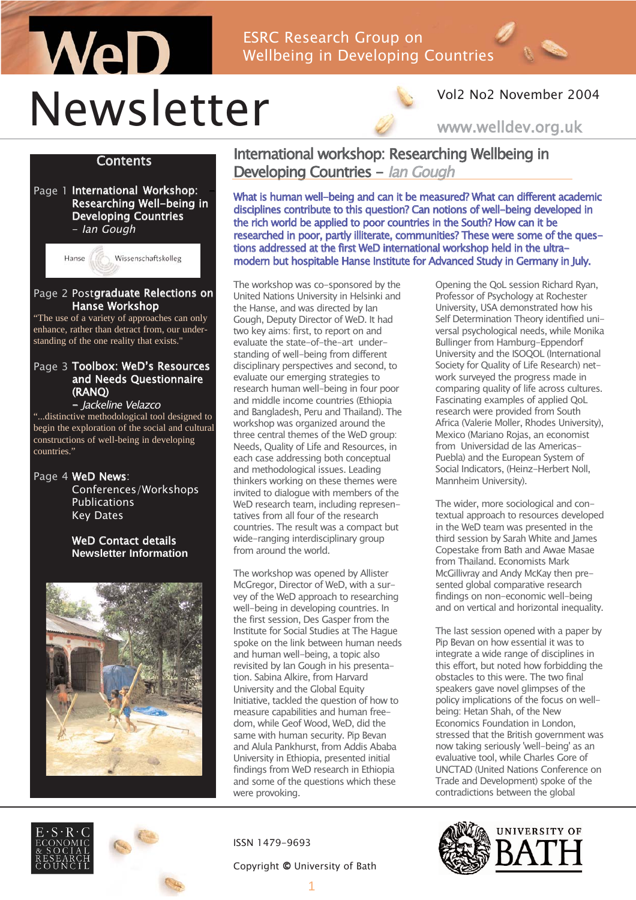# WeD ESRC Research Group on Wellbeing in Developing Countries Newsletter



### Vol2 No2 November 2004

www.welldev.org.uk

### **Contents**

Page 1 International Workshop: Researching Well-being in Developing Countries - Ian Gough



### Page 2 Postgraduate Relections on Hanse Workshop

"The use of a variety of approaches can only enhance, rather than detract from, our understanding of the one reality that exists."

### Page 3 Toolbox: WeD's Resources and Needs Questionnaire (RANQ)

- Jackeline Velazco "...distinctive methodological tool designed to begin the exploration of the social and cultural constructions of well-being in developing countries."

Page 4 WeD News: Conferences/Workshops Publications Key Dates

### WeD Contact details **Newsletter Information**







International workshop: Researching Wellbeing in Developing Countries - Ian Gough

What is human well-being and can it be measured? What can different academic disciplines contribute to this question? Can notions of well-being developed in the rich world be applied to poor countries in the South? How can it be researched in poor, partly illiterate, communities? These were some of the questions addressed at the first WeD international workshop held in the ultramodern but hospitable Hanse Institute for Advanced Study in Germany in July.

The workshop was co-sponsored by the United Nations University in Helsinki and the Hanse, and was directed by Ian Gough, Deputy Director of WeD. It had two key aims: first, to report on and evaluate the state-of-the-art understanding of well-being from different disciplinary perspectives and second, to evaluate our emerging strategies to research human well-being in four poor and middle income countries (Ethiopia and Bangladesh, Peru and Thailand). The workshop was organized around the three central themes of the WeD group: Needs, Quality of Life and Resources, in each case addressing both conceptual and methodological issues. Leading thinkers working on these themes were invited to dialogue with members of the WeD research team, including representatives from all four of the research countries. The result was a compact but wide-ranging interdisciplinary group from around the world

The workshop was opened by Allister McGregor, Director of WeD, with a survey of the WeD approach to researching well-being in developing countries. In the first session, Des Gasper from the Institute for Social Studies at The Hague spoke on the link between human needs and human well-being, a topic also revisited by Ian Gough in his presentation. Sabina Alkire, from Harvard University and the Global Equity Initiative, tackled the question of how to measure capabilities and human freedom, while Geof Wood, WeD, did the same with human security. Pip Bevan and Alula Pankhurst, from Addis Ababa University in Ethiopia, presented initial findings from WeD research in Ethiopia and some of the questions which these were provoking.

ISSN 1479-9693

#### Copyright © University of Bath

Opening the QoL session Richard Ryan, Professor of Psychology at Rochester University, USA demonstrated how his Self Determination Theory identified universal psychological needs, while Monika Bullinger from Hamburg-Eppendorf University and the ISOQOL (International Society for Quality of Life Research) network surveyed the progress made in comparing quality of life across cultures. Fascinating examples of applied QoL research were provided from South Africa (Valerie Moller, Rhodes University), Mexico (Mariano Rojas, an economist from Universidad de las Americas-Puebla) and the European System of Social Indicators, (Heinz-Herbert Noll, Mannheim University).

The wider, more sociological and contextual approach to resources developed in the WeD team was presented in the third session by Sarah White and James Copestake from Bath and Awae Masae from Thailand. Economists Mark McGillivray and Andy McKay then presented global comparative research findings on non-economic well-being and on vertical and horizontal inequality.

The last session opened with a paper by Pip Bevan on how essential it was to integrate a wide range of disciplines in this effort, but noted how forbidding the obstacles to this were. The two final speakers gave novel glimpses of the policy implications of the focus on wellbeing: Hetan Shah, of the New Economics Foundation in London, stressed that the British government was now taking seriously 'well-being' as an evaluative tool, while Charles Gore of UNCTAD (United Nations Conference on Trade and Development) spoke of the contradictions between the global

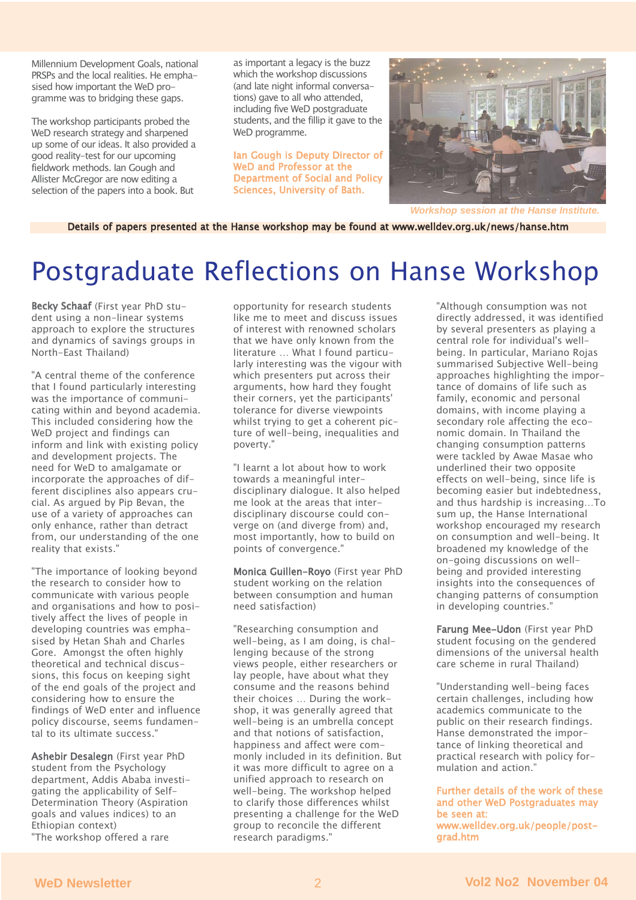Millennium Development Goals, national PRSPs and the local realities. He emphasised how important the WeD programme was to bridging these gaps.

The workshop participants probed the WeD research strategy and sharpened up some of our ideas. It also provided a good reality-test for our upcoming fieldwork methods. Ian Gough and Allister McGregor are now editing a selection of the papers into a book. But

as important a legacy is the buzz which the workshop discussions (and late night informal conversations) gave to all who attended, including five WeD postgraduate students, and the fillip it gave to the WeD programme.

Ian Gough is Deputy Director of WeD and Professor at the Department of Social and Policy Sciences, University of Bath.



*Workshop session at the Hanse Institute.*

Details of papers presented at the Hanse workshop may be found at www.welldev.org.uk/news/hanse.htm

# Postgraduate Reflections on Hanse Workshop

Becky Schaaf (First year PhD student using a non-linear systems approach to explore the structures and dynamics of savings groups in North-East Thailand)

"A central theme of the conference that I found particularly interesting was the importance of communicating within and beyond academia. This included considering how the WeD project and findings can inform and link with existing policy and development projects. The need for WeD to amalgamate or incorporate the approaches of different disciplines also appears crucial. As argued by Pip Bevan, the use of a variety of approaches can only enhance, rather than detract from, our understanding of the one reality that exists."

"The importance of looking beyond the research to consider how to communicate with various people and organisations and how to positively affect the lives of people in developing countries was emphasised by Hetan Shah and Charles Gore. Amongst the often highly theoretical and technical discussions, this focus on keeping sight of the end goals of the project and considering how to ensure the findings of WeD enter and influence policy discourse, seems fundamental to its ultimate success."

Ashebir Desalegn (First year PhD student from the Psychology department, Addis Ababa investigating the applicability of Self-Determination Theory (Aspiration goals and values indices) to an Ethiopian context)

"The workshop offered a rare

opportunity for research students like me to meet and discuss issues of interest with renowned scholars that we have only known from the literature … What I found particularly interesting was the vigour with which presenters put across their arguments, how hard they fought their corners, yet the participants' tolerance for diverse viewpoints whilst trying to get a coherent picture of well-being, inequalities and poverty."

"I learnt a lot about how to work towards a meaningful interdisciplinary dialogue. It also helped me look at the areas that interdisciplinary discourse could converge on (and diverge from) and, most importantly, how to build on points of convergence."

Monica Guillen-Royo (First year PhD student working on the relation between consumption and human need satisfaction)

"Researching consumption and well-being, as I am doing, is challenging because of the strong views people, either researchers or lay people, have about what they consume and the reasons behind their choices … During the workshop, it was generally agreed that well-being is an umbrella concept and that notions of satisfaction, happiness and affect were commonly included in its definition. But it was more difficult to agree on a unified approach to research on well-being. The workshop helped to clarify those differences whilst presenting a challenge for the WeD group to reconcile the different research paradigms."

"Although consumption was not directly addressed, it was identified by several presenters as playing a central role for individual's wellbeing. In particular, Mariano Rojas summarised Subjective Well-being approaches highlighting the importance of domains of life such as family, economic and personal domains, with income playing a secondary role affecting the economic domain. In Thailand the changing consumption patterns were tackled by Awae Masae who underlined their two opposite effects on well-being, since life is becoming easier but indebtedness, and thus hardship is increasing…To sum up, the Hanse International workshop encouraged my research on consumption and well-being. It broadened my knowledge of the on-going discussions on wellbeing and provided interesting insights into the consequences of changing patterns of consumption in developing countries."

Farung Mee-Udon (First year PhD student focusing on the gendered dimensions of the universal health care scheme in rural Thailand)

"Understanding well-being faces certain challenges, including how academics communicate to the public on their research findings. Hanse demonstrated the importance of linking theoretical and practical research with policy formulation and action."

Further details of the work of these and other WeD Postgraduates may be seen at: www.welldev.org.uk/people/postgrad.htm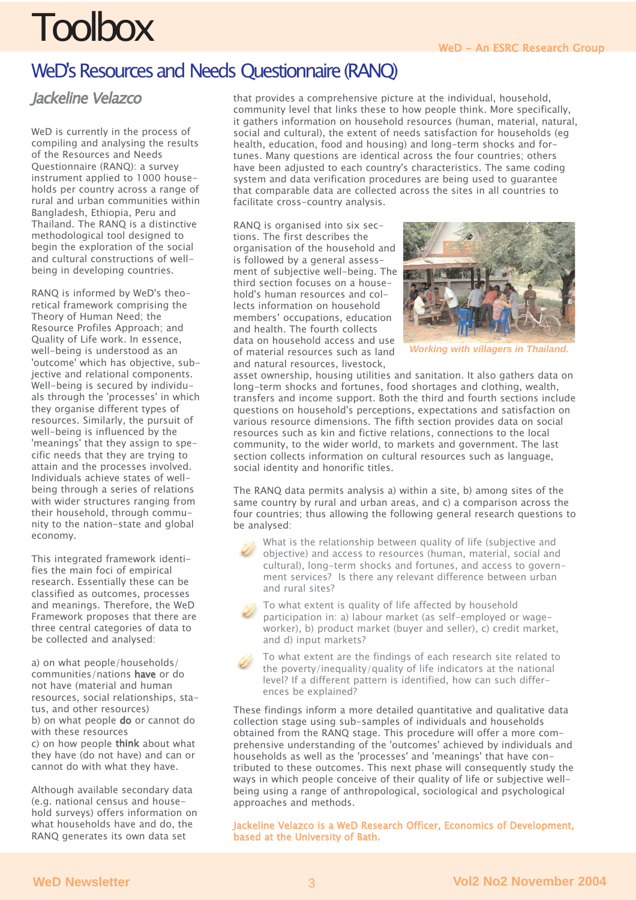# **Toolbox**

### WeD's Resources and Needs Questionnaire (RANQ)

### Jackeline Velazco

WeD is currently in the process of compiling and analysing the results of the Resources and Needs Questionnaire (RANQ): a survey instrument applied to 1000 households per country across a range of rural and urban communities within Bangladesh, Ethiopia, Peru and Thailand. The RANQ is a distinctive methodological tool designed to begin the exploration of the social and cultural constructions of wellbeing in developing countries.

RANQ is informed by WeD's theoretical framework comprising the Theory of Human Need; the Resource Profiles Approach; and Quality of Life work. In essence, well-being is understood as an 'outcome' which has objective, subjective and relational components. Well-being is secured by individuals through the 'processes' in which they organise different types of resources. Similarly, the pursuit of well-being is influenced by the 'meanings' that they assign to specific needs that they are trying to attain and the processes involved. Individuals achieve states of wellbeing through a series of relations with wider structures ranging from their household, through community to the nation-state and global economy.

This integrated framework identifies the main foci of empirical research. Essentially these can be classified as outcomes, processes and meanings. Therefore, the WeD Framework proposes that there are three central categories of data to be collected and analysed:

a) on what people/households/ communities/nations have or do not have (material and human resources, social relationships, status, and other resources) b) on what people **do** or cannot do with these resources c) on how people think about what they have (do not have) and can or cannot do with what they have.

Although available secondary data (e.g. national census and household surveys) offers information on what households have and do, the RANQ generates its own data set

that provides a comprehensive picture at the individual, household, community level that links these to how people think. More specifically, it gathers information on household resources (human, material, natural, social and cultural), the extent of needs satisfaction for households (eg health, education, food and housing) and long-term shocks and fortunes. Many questions are identical across the four countries; others have been adjusted to each country's characteristics. The same coding system and data verification procedures are being used to guarantee that comparable data are collected across the sites in all countries to facilitate cross-country analysis.

RANQ is organised into six sections. The first describes the organisation of the household and is followed by a general assessment of subjective well-being. The third section focuses on a household's human resources and collects information on household members' occupations, education and health. The fourth collects data on household access and use of material resources such as land and natural resources, livestock,



*Working with villagers in Thailand.*

asset ownership, housing utilities and sanitation. It also gathers data on long-term shocks and fortunes, food shortages and clothing, wealth, transfers and income support. Both the third and fourth sections include questions on household's perceptions, expectations and satisfaction on various resource dimensions. The fifth section provides data on social resources such as kin and fictive relations, connections to the local community, to the wider world, to markets and government. The last section collects information on cultural resources such as language, social identity and honorific titles.

The RANQ data permits analysis a) within a site, b) among sites of the same country by rural and urban areas, and c) a comparison across the four countries; thus allowing the following general research questions to be analysed:

What is the relationship between quality of life (subjective and objective) and access to resources (human, material, social and cultural), long-term shocks and fortunes, and access to government services? Is there any relevant difference between urban and rural sites?

To what extent is quality of life affected by household participation in: a) labour market (as self-employed or wageworker), b) product market (buyer and seller), c) credit market, and d) input markets?

To what extent are the findings of each research site related to the poverty/inequality/quality of life indicators at the national level? If a different pattern is identified, how can such differences be explained?

These findings inform a more detailed quantitative and qualitative data collection stage using sub-samples of individuals and households obtained from the RANQ stage. This procedure will offer a more comprehensive understanding of the 'outcomes' achieved by individuals and households as well as the 'processes' and 'meanings' that have contributed to these outcomes. This next phase will consequently study the ways in which people conceive of their quality of life or subjective wellbeing using a range of anthropological, sociological and psychological approaches and methods.

Jackeline Velazco is a WeD Research Officer, Economics of Development, based at the University of Bath.